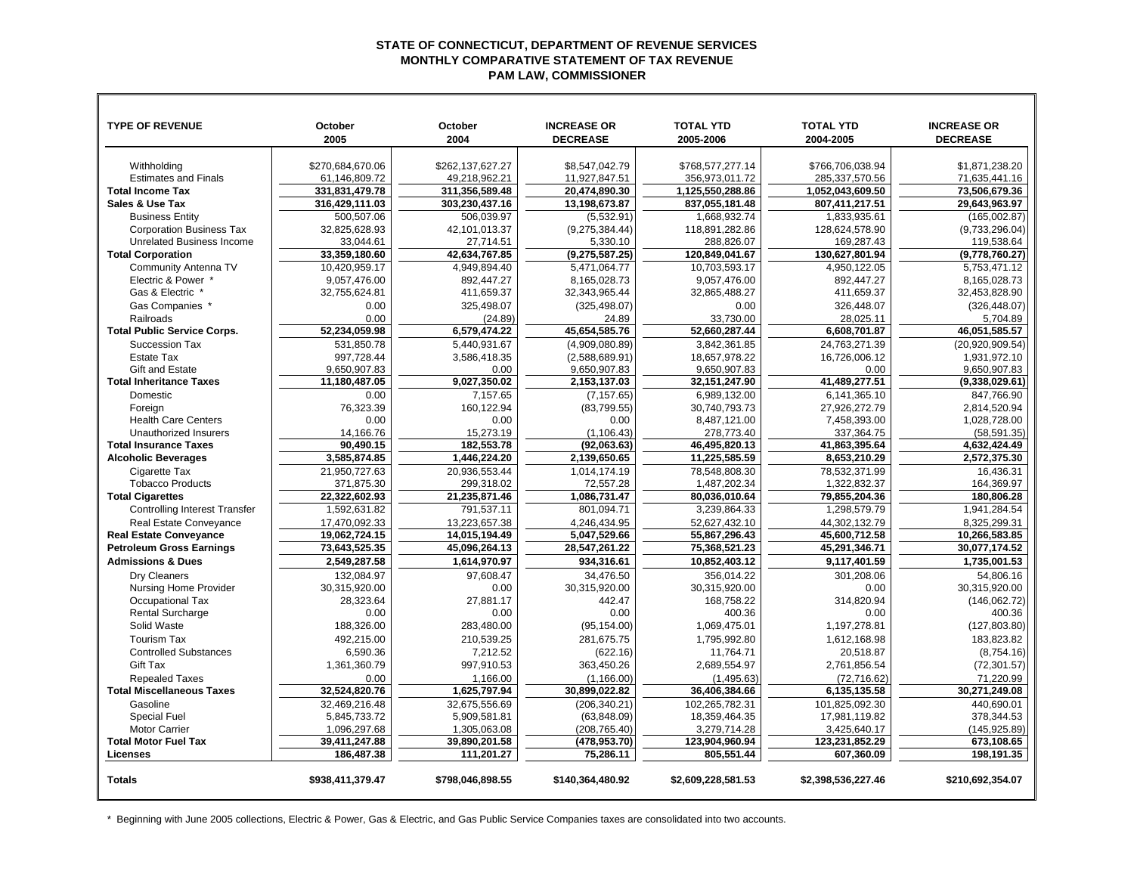## **STATE OF CONNECTICUT, DEPARTMENT OF REVENUE SERVICES MONTHLY COMPARATIVE STATEMENT OF TAX REVENUE PAM LAW, COMMISSIONER**

| <b>TYPE OF REVENUE</b>                                              | October                    | October                         | <b>INCREASE OR</b>             | <b>TOTAL YTD</b>                   | <b>TOTAL YTD</b>                   | <b>INCREASE OR</b>             |
|---------------------------------------------------------------------|----------------------------|---------------------------------|--------------------------------|------------------------------------|------------------------------------|--------------------------------|
|                                                                     | 2005                       | 2004                            | <b>DECREASE</b>                | 2005-2006                          | 2004-2005                          | <b>DECREASE</b>                |
|                                                                     |                            |                                 |                                |                                    |                                    |                                |
| Withholding                                                         | \$270,684,670.06           | \$262,137,627.27                | \$8,547,042.79                 | \$768,577,277.14                   | \$766,706,038.94                   | \$1,871,238.20                 |
| <b>Estimates and Finals</b><br><b>Total Income Tax</b>              | 61,146,809.72              | 49,218,962.21<br>311.356.589.48 | 11,927,847.51<br>20.474.890.30 | 356,973,011.72<br>1.125.550.288.86 | 285,337,570.56<br>1.052.043.609.50 | 71,635,441.16<br>73.506.679.36 |
| Sales & Use Tax                                                     | 331,831,479.78             |                                 |                                |                                    |                                    | 29,643,963.97                  |
|                                                                     | 316,429,111.03             | 303,230,437.16                  | 13,198,673.87                  | 837,055,181.48                     | 807,411,217.51                     |                                |
| <b>Business Entity</b>                                              | 500,507.06                 | 506,039.97                      | (5,532.91)                     | 1,668,932.74                       | 1,833,935.61                       | (165,002.87)                   |
| <b>Corporation Business Tax</b><br><b>Unrelated Business Income</b> | 32,825,628.93<br>33.044.61 | 42,101,013.37                   | (9,275,384.44)                 | 118,891,282.86                     | 128,624,578.90                     | (9,733,296.04)                 |
| <b>Total Corporation</b>                                            | 33,359,180.60              | 27,714.51<br>42,634,767.85      | 5,330.10<br>(9, 275, 587.25)   | 288,826.07<br>120,849,041.67       | 169,287.43<br>130,627,801.94       | 119,538.64<br>(9,778,760.27)   |
| Community Antenna TV                                                | 10,420,959.17              | 4,949,894.40                    | 5,471,064.77                   | 10,703,593.17                      | 4,950,122.05                       | 5,753,471.12                   |
| Electric & Power *                                                  | 9,057,476.00               | 892,447.27                      | 8,165,028.73                   | 9,057,476.00                       | 892,447.27                         | 8,165,028.73                   |
| Gas & Electric                                                      | 32.755.624.81              | 411.659.37                      | 32,343,965.44                  | 32,865,488.27                      | 411.659.37                         | 32.453.828.90                  |
| Gas Companies '                                                     | 0.00                       | 325,498.07                      | (325, 498.07)                  | 0.00                               | 326,448.07                         | (326, 448.07)                  |
| Railroads                                                           | 0.00                       | (24.89)                         | 24.89                          | 33,730.00                          | 28,025.11                          | 5.704.89                       |
| <b>Total Public Service Corps.</b>                                  | 52,234,059.98              | 6,579,474.22                    | 45,654,585.76                  | 52,660,287.44                      | 6,608,701.87                       | 46,051,585.57                  |
| Succession Tax                                                      | 531.850.78                 | 5,440,931.67                    | (4,909,080.89)                 | 3,842,361.85                       | 24,763,271.39                      | (20, 920, 909.54)              |
| <b>Estate Tax</b>                                                   | 997.728.44                 | 3.586.418.35                    | (2,588,689.91)                 | 18.657.978.22                      | 16.726.006.12                      | 1.931.972.10                   |
| Gift and Estate                                                     | 9,650,907.83               | 0.00                            | 9,650,907.83                   | 9,650,907.83                       | 0.00                               | 9,650,907.83                   |
| <b>Total Inheritance Taxes</b>                                      | 11,180,487.05              | 9,027,350.02                    | 2,153,137.03                   | 32,151,247.90                      | 41,489,277.51                      | (9,338,029.61)                 |
| Domestic                                                            | 0.00                       | 7.157.65                        | (7, 157.65)                    | 6.989.132.00                       | 6.141.365.10                       | 847.766.90                     |
| Foreign                                                             | 76,323.39                  | 160,122.94                      | (83,799.55)                    | 30,740,793.73                      | 27,926,272.79                      | 2,814,520.94                   |
| <b>Health Care Centers</b>                                          | 0.00                       | 0.00                            | 0.00                           | 8,487,121.00                       | 7,458,393.00                       | 1,028,728.00                   |
| Unauthorized Insurers                                               | 14,166.76                  | 15.273.19                       | (1, 106.43)                    | 278.773.40                         | 337,364.75                         | (58, 591.35)                   |
| <b>Total Insurance Taxes</b>                                        | 90.490.15                  | 182,553.78                      | (92,063.63)                    | 46,495,820.13                      | 41,863,395.64                      | 4,632,424.49                   |
| <b>Alcoholic Beverages</b>                                          | 3,585,874.85               | 1,446,224.20                    | 2,139,650.65                   | 11,225,585.59                      | 8,653,210.29                       | 2,572,375.30                   |
| Cigarette Tax                                                       | 21,950,727.63              | 20,936,553.44                   | 1,014,174.19                   | 78,548,808.30                      | 78,532,371.99                      | 16,436.31                      |
| <b>Tobacco Products</b>                                             | 371,875.30                 | 299,318.02                      | 72,557.28                      | 1,487,202.34                       | 1,322,832.37                       | 164,369.97                     |
| <b>Total Cigarettes</b>                                             | 22,322,602.93              | 21,235,871.46                   | 1.086.731.47                   | 80.036.010.64                      | 79,855,204.36                      | 180.806.28                     |
| <b>Controlling Interest Transfer</b>                                | 1,592,631.82               | 791,537.11                      | 801,094.71                     | 3,239,864.33                       | 1,298,579.79                       | 1,941,284.54                   |
| <b>Real Estate Conveyance</b>                                       | 17,470,092.33              | 13,223,657.38                   | 4,246,434.95                   | 52,627,432.10                      | 44,302,132.79                      | 8,325,299.31                   |
| <b>Real Estate Conveyance</b>                                       | 19,062,724.15              | 14.015.194.49                   | 5.047.529.66                   | 55.867.296.43                      | 45.600.712.58                      | 10.266.583.85                  |
| <b>Petroleum Gross Earnings</b>                                     | 73,643,525.35              | 45,096,264.13                   | 28,547,261.22                  | 75,368,521.23                      | 45,291,346.71                      | 30,077,174.52                  |
| <b>Admissions &amp; Dues</b>                                        | 2.549.287.58               | 1,614,970.97                    | 934.316.61                     | 10.852.403.12                      | 9,117,401.59                       | 1,735,001.53                   |
| Drv Cleaners                                                        | 132,084.97                 | 97.608.47                       | 34,476.50                      | 356.014.22                         | 301.208.06                         | 54.806.16                      |
| <b>Nursing Home Provider</b>                                        | 30,315,920.00              | 0.00                            | 30,315,920.00                  | 30,315,920.00                      | 0.00                               | 30,315,920.00                  |
| <b>Occupational Tax</b>                                             | 28.323.64                  | 27.881.17                       | 442.47                         | 168.758.22                         | 314.820.94                         | (146.062.72)                   |
| <b>Rental Surcharge</b>                                             | 0.00                       | 0.00                            | 0.00                           | 400.36                             | 0.00                               | 400.36                         |
| Solid Waste                                                         | 188.326.00                 | 283.480.00                      | (95.154.00)                    | 1.069.475.01                       | 1.197.278.81                       | (127.803.80)                   |
| <b>Tourism Tax</b>                                                  | 492,215.00                 | 210,539.25                      | 281,675.75                     | 1,795,992.80                       | 1,612,168.98                       | 183,823.82                     |
| <b>Controlled Substances</b>                                        | 6.590.36                   | 7.212.52                        | (622.16)                       | 11,764.71                          | 20.518.87                          | (8,754.16)                     |
| <b>Gift Tax</b>                                                     | 1,361,360.79               | 997.910.53                      | 363.450.26                     | 2.689.554.97                       | 2.761.856.54                       | (72, 301.57)                   |
| <b>Repealed Taxes</b>                                               | 0.00                       | 1,166.00                        | (1, 166.00)                    | (1,495.63)                         | (72, 716.62)                       | 71,220.99                      |
| <b>Total Miscellaneous Taxes</b>                                    | 32,524,820.76              | 1,625,797.94                    | 30,899,022.82                  | 36,406,384.66                      | 6,135,135.58                       | 30,271,249.08                  |
| Gasoline                                                            | 32,469,216.48              | 32,675,556.69                   | (206, 340.21)                  | 102,265,782.31                     | 101,825,092.30                     | 440,690.01                     |
| Special Fuel                                                        | 5,845,733.72               | 5,909,581.81                    | (63,848.09)                    | 18,359,464.35                      | 17,981,119.82                      | 378,344.53                     |
| <b>Motor Carrier</b>                                                | 1,096,297.68               | 1,305,063.08                    | (208, 765.40)                  | 3,279,714.28                       | 3,425,640.17                       | (145, 925.89)                  |
| <b>Total Motor Fuel Tax</b>                                         | 39,411,247.88              | 39,890,201.58                   | (478,953.70)                   | 123,904,960.94                     | 123,231,852.29                     | 673,108.65                     |
| <b>Licenses</b>                                                     | 186,487.38                 | 111,201.27                      | 75,286.11                      | 805,551.44                         | 607,360.09                         | 198,191.35                     |
| <b>Totals</b>                                                       | \$938,411,379.47           | \$798,046,898.55                | \$140,364,480.92               | \$2,609,228,581.53                 | \$2,398,536,227.46                 | \$210,692,354.07               |

\* Beginning with June 2005 collections, Electric & Power, Gas & Electric, and Gas Public Service Companies taxes are consolidated into two accounts.